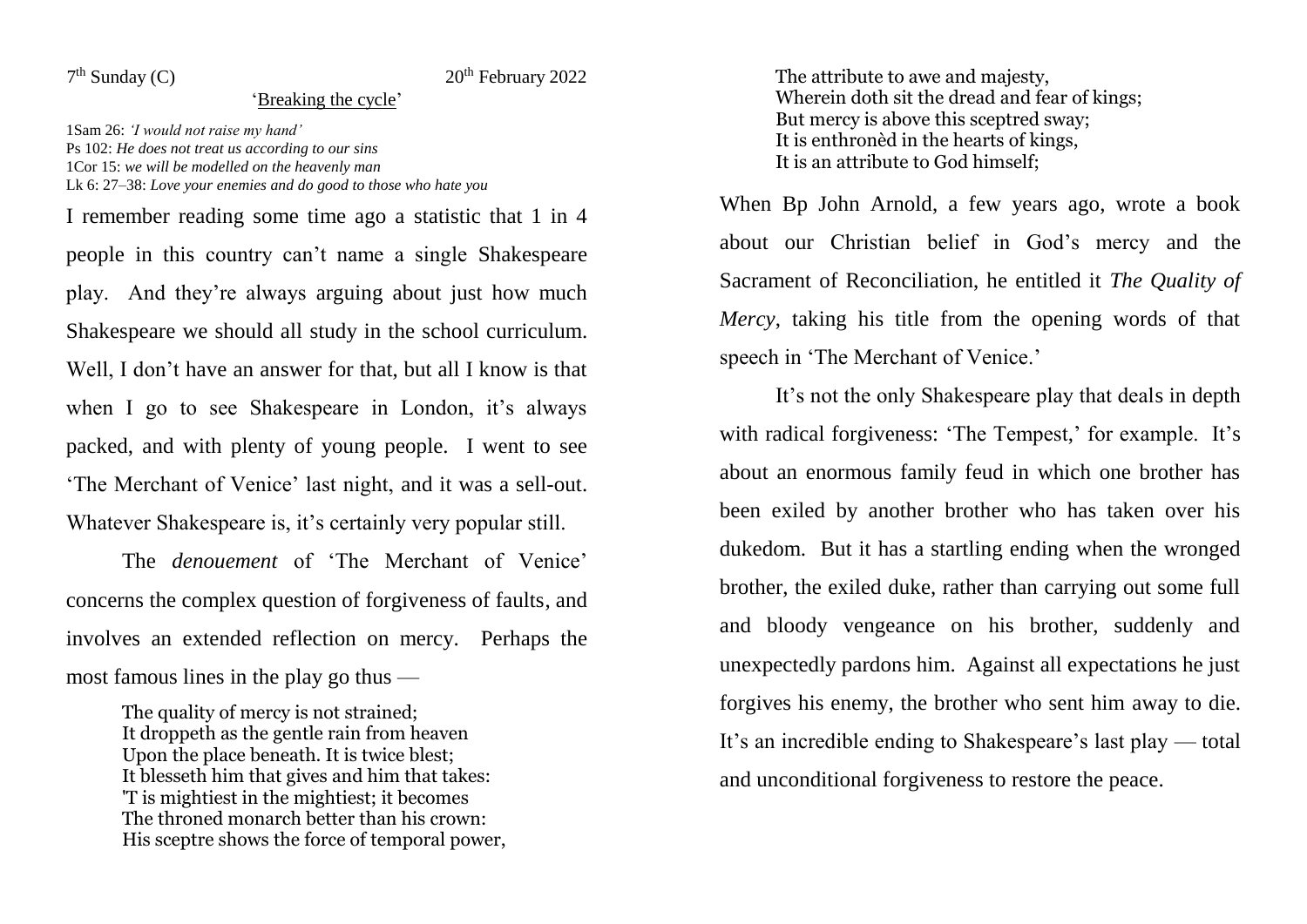$7<sup>th</sup>$  Sunday (C)

## $20<sup>th</sup>$  February 2022

## 'Breaking the cycle'

1Sam 26: *'I would not raise my hand'* Ps 102: *He does not treat us according to our sins* 1Cor 15: *we will be modelled on the heavenly man* Lk 6: 27–38: *Love your enemies and do good to those who hate you*

I remember reading some time ago a statistic that 1 in 4 people in this country can't name a single Shakespeare play. And they're always arguing about just how much Shakespeare we should all study in the school curriculum. Well. I don't have an answer for that, but all I know is that when I go to see Shakespeare in London, it's always packed, and with plenty of young people. I went to see 'The Merchant of Venice' last night, and it was a sell-out. Whatever Shakespeare is, it's certainly very popular still.

The *denouement* of 'The Merchant of Venice' concerns the complex question of forgiveness of faults, and involves an extended reflection on mercy. Perhaps the most famous lines in the play go thus —

> The quality of mercy is not strained: It droppeth as the gentle rain from heaven Upon the place beneath. It is twice blest; It blesseth him that gives and him that takes: 'T is mightiest in the mightiest; it becomes The throned monarch better than his crown: His sceptre shows the force of temporal power,

The attribute to awe and majesty, Wherein doth sit the dread and fear of kings; But mercy is above this sceptred sway; It is enthronèd in the hearts of kings, It is an attribute to God himself;

When Bp John Arnold, a few years ago, wrote a book about our Christian belief in God's mercy and the Sacrament of Reconciliation, he entitled it *The Quality of Mercy*, taking his title from the opening words of that speech in 'The Merchant of Venice.'

It's not the only Shakespeare play that deals in depth with radical forgiveness: 'The Tempest,' for example. It's about an enormous family feud in which one brother has been exiled by another brother who has taken over his dukedom. But it has a startling ending when the wronged brother, the exiled duke, rather than carrying out some full and bloody vengeance on his brother, suddenly and unexpectedly pardons him. Against all expectations he just forgives his enemy, the brother who sent him away to die. It's an incredible ending to Shakespeare's last play — total and unconditional forgiveness to restore the peace.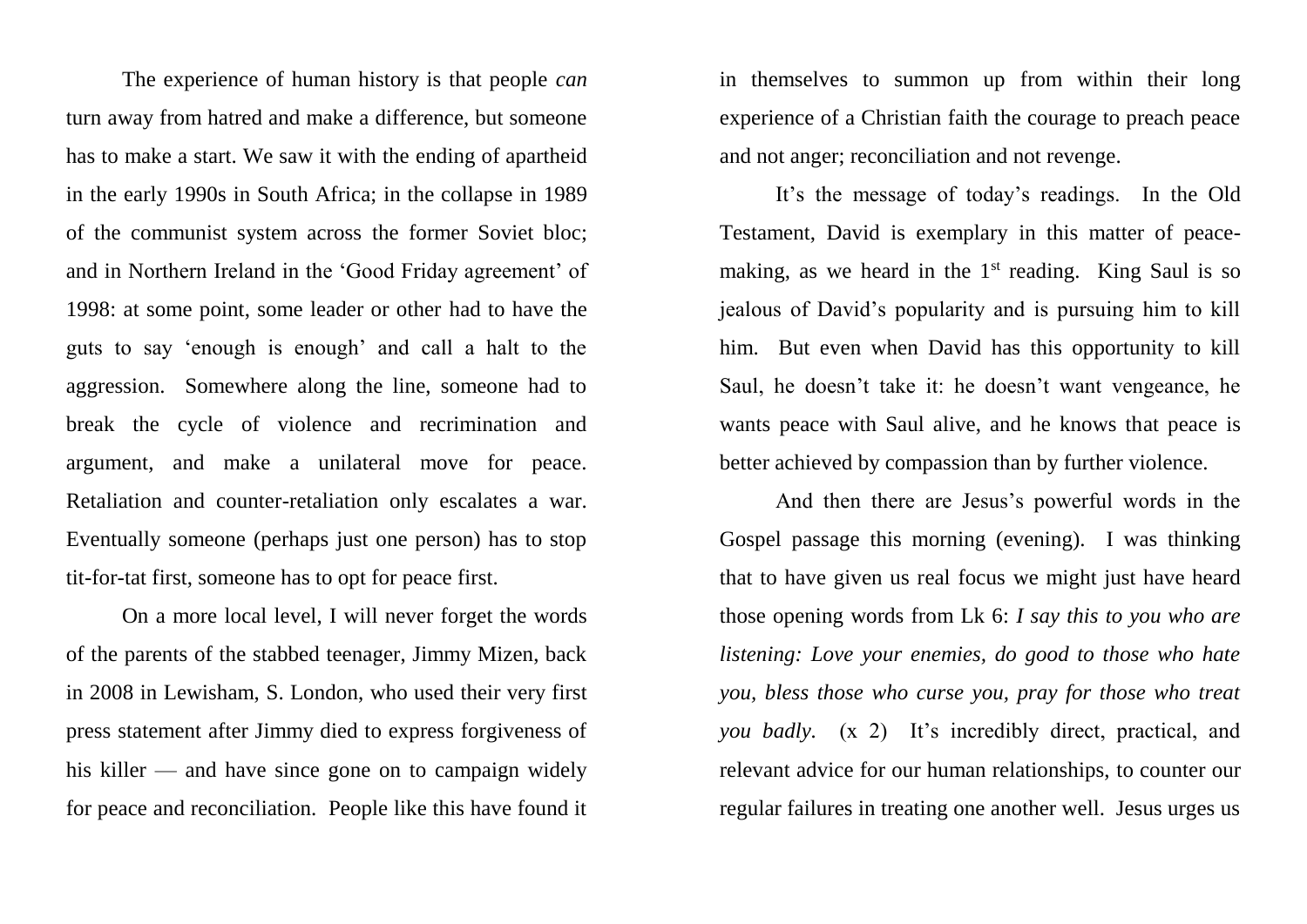The experience of human history is that people *can* turn away from hatred and make a difference, but someone has to make a start. We saw it with the ending of apartheid in the early 1990s in South Africa; in the collapse in 1989 of the communist system across the former Soviet bloc; and in Northern Ireland in the 'Good Friday agreement' of 1998: at some point, some leader or other had to have the guts to say 'enough is enough' and call a halt to the aggression. Somewhere along the line, someone had to break the cycle of violence and recrimination and argument, and make a unilateral move for peace. Retaliation and counter-retaliation only escalates a war. Eventually someone (perhaps just one person) has to stop tit-for-tat first, someone has to opt for peace first.

On a more local level, I will never forget the words of the parents of the stabbed teenager, Jimmy Mizen, back in 2008 in Lewisham, S. London, who used their very first press statement after Jimmy died to express forgiveness of his killer — and have since gone on to campaign widely for peace and reconciliation. People like this have found it

in themselves to summon up from within their long experience of a Christian faith the courage to preach peace and not anger; reconciliation and not revenge.

It's the message of today's readings. In the Old Testament, David is exemplary in this matter of peacemaking, as we heard in the  $1<sup>st</sup>$  reading. King Saul is so jealous of David's popularity and is pursuing him to kill him. But even when David has this opportunity to kill Saul, he doesn't take it: he doesn't want vengeance, he wants peace with Saul alive, and he knows that peace is better achieved by compassion than by further violence.

And then there are Jesus's powerful words in the Gospel passage this morning (evening). I was thinking that to have given us real focus we might just have heard those opening words from Lk 6: *I say this to you who are listening: Love your enemies, do good to those who hate you, bless those who curse you, pray for those who treat you badly.* (x 2) It's incredibly direct, practical, and relevant advice for our human relationships, to counter our regular failures in treating one another well. Jesus urges us